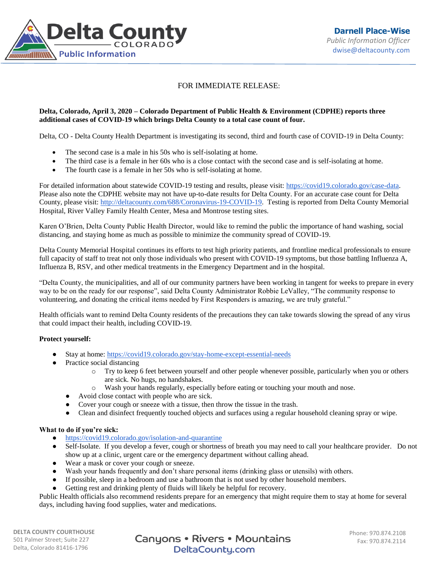

## FOR IMMEDIATE RELEASE:

## **Delta, Colorado, April 3, 2020 – Colorado Department of Public Health & Environment (CDPHE) reports three additional cases of COVID-19 which brings Delta County to a total case count of four.**

Delta, CO - Delta County Health Department is investigating its second, third and fourth case of COVID-19 in Delta County:

- The second case is a male in his 50s who is self-isolating at home.
- The third case is a female in her 60s who is a close contact with the second case and is self-isolating at home.
- The fourth case is a female in her 50s who is self-isolating at home.

For detailed information about statewide COVID-19 testing and results, please visit: [https://covid19.colorado.gov/case-data.](https://covid19.colorado.gov/case-data) Please also note the CDPHE website may not have up-to-date results for Delta County. For an accurate case count for Delta County, please visit: [http://deltacounty.com/688/Coronavirus-19-COVID-19.](http://deltacounty.com/688/Coronavirus-19-COVID-19) Testing is reported from Delta County Memorial Hospital, River Valley Family Health Center, Mesa and Montrose testing sites.

Karen O'Brien, Delta County Public Health Director, would like to remind the public the importance of hand washing, social distancing, and staying home as much as possible to minimize the community spread of COVID-19.

Delta County Memorial Hospital continues its efforts to test high priority patients, and frontline medical professionals to ensure full capacity of staff to treat not only those individuals who present with COVID-19 symptoms, but those battling Influenza A, Influenza B, RSV, and other medical treatments in the Emergency Department and in the hospital.

"Delta County, the municipalities, and all of our community partners have been working in tangent for weeks to prepare in every way to be on the ready for our response", said Delta County Administrator Robbie LeValley, "The community response to volunteering, and donating the critical items needed by First Responders is amazing, we are truly grateful."

Health officials want to remind Delta County residents of the precautions they can take towards slowing the spread of any virus that could impact their health, including COVID-19.

## **Protect yourself:**

- Stay at home: <https://covid19.colorado.gov/stay-home-except-essential-needs>
- Practice social distancing
	- o Try to keep 6 feet between yourself and other people whenever possible, particularly when you or others are sick. No hugs, no handshakes.
	- o Wash your hands regularly, especially before eating or touching your mouth and nose.
	- Avoid close contact with people who are sick.
	- Cover your cough or sneeze with a tissue, then throw the tissue in the trash.
	- Clean and disinfect frequently touched objects and surfaces using a regular household cleaning spray or wipe.

## **What to do if you're sick:**

- <https://covid19.colorado.gov/isolation-and-quarantine>
- Self-Isolate. If you develop a fever, cough or shortness of breath you may need to call your healthcare provider. Do not show up at a clinic, urgent care or the emergency department without calling ahead.
- Wear a mask or cover your cough or sneeze.
- Wash your hands frequently and don't share personal items (drinking glass or utensils) with others.
- If possible, sleep in a bedroom and use a bathroom that is not used by other household members.
- Getting rest and drinking plenty of fluids will likely be helpful for recovery.

Public Health officials also recommend residents prepare for an emergency that might require them to stay at home for several days, including having food supplies, water and medications.

**DELTA COUNTY COURTHOUSE** 501 Palmer Street; Suite 227 Delta, Colorado 81416-1796

Canyons • Rivers • Mountains DeltaCounty.com

Phone: 970.874.2108 Fax: 970.874.2114